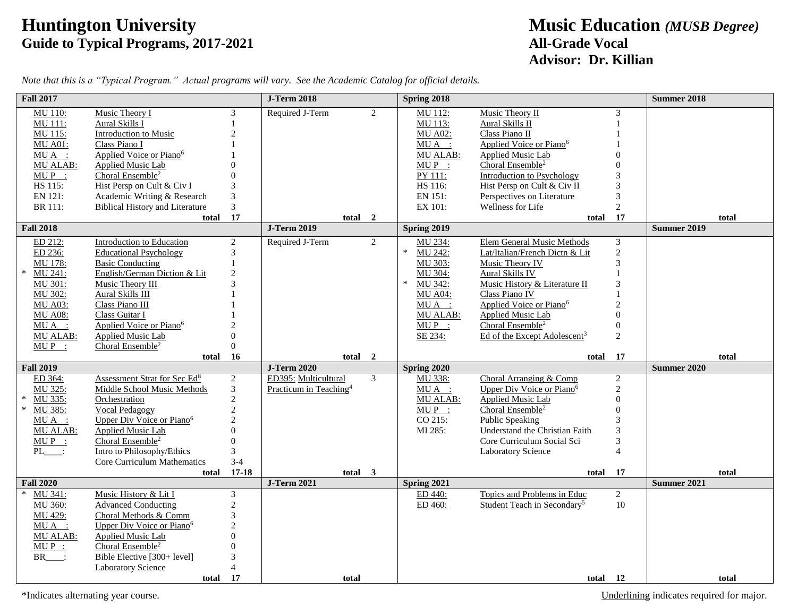## **Huntington University Music Education** *(MUSB Degree)* **Guide to Typical Programs, 2017-2021 All-Grade Vocal**

## **Advisor: Dr. Killian**

| <b>Fall 2017</b>                                                                                                                                       |                                                                                                                                                                                                                                                                                                              |                                                                                                                                       | <b>J-Term 2018</b>                                         |                | Spring 2018                                                                                                                             |                                                                                                                                                                                                                                                                                               |                                                                      | Summer 2018                 |  |
|--------------------------------------------------------------------------------------------------------------------------------------------------------|--------------------------------------------------------------------------------------------------------------------------------------------------------------------------------------------------------------------------------------------------------------------------------------------------------------|---------------------------------------------------------------------------------------------------------------------------------------|------------------------------------------------------------|----------------|-----------------------------------------------------------------------------------------------------------------------------------------|-----------------------------------------------------------------------------------------------------------------------------------------------------------------------------------------------------------------------------------------------------------------------------------------------|----------------------------------------------------------------------|-----------------------------|--|
| MU 110:<br><b>MU 111:</b><br>MU 115:<br><b>MU A01:</b><br>$MU A$ :<br>MU ALAB:<br>$MUP$ :<br>HS 115:<br>EN 121:<br>BR 111:                             | Music Theory I<br>Aural Skills I<br>Introduction to Music<br>Class Piano I<br>Applied Voice or Piano <sup>6</sup><br><b>Applied Music Lab</b><br>Choral Ensemble <sup>2</sup><br>Hist Persp on Cult & Civ I<br>Academic Writing & Research<br><b>Biblical History and Literature</b>                         | 3<br>1<br>$\overline{2}$<br>3<br>3<br>$\overline{3}$                                                                                  | Required J-Term                                            | $\overline{2}$ | MU 112:<br>MU 113:<br><b>MU A02:</b><br>$MU A$ :<br><b>MU ALAB:</b><br>$MUP$ :<br>PY 111:<br>HS 116:<br>EN 151:<br>EX 101:              | Music Theory II<br>Aural Skills II<br>Class Piano II<br>Applied Voice or Piano <sup>6</sup><br>Applied Music Lab<br>Choral Ensemble <sup>2</sup><br><b>Introduction to Psychology</b><br>Hist Persp on Cult & Civ II<br>Perspectives on Literature<br>Wellness for Life                       | 3<br>1<br>3<br>3<br>$\overline{c}$                                   |                             |  |
|                                                                                                                                                        | total                                                                                                                                                                                                                                                                                                        | 17                                                                                                                                    | total                                                      | $\overline{2}$ |                                                                                                                                         | total                                                                                                                                                                                                                                                                                         | 17                                                                   | total                       |  |
| <b>Fall 2018</b>                                                                                                                                       |                                                                                                                                                                                                                                                                                                              |                                                                                                                                       | <b>J-Term 2019</b>                                         |                | Spring 2019                                                                                                                             |                                                                                                                                                                                                                                                                                               |                                                                      | <b>Summer 2019</b>          |  |
| ED 212:<br>ED 236:<br>MU 178:<br>$\ast$<br>MU 241:<br>MU 301:<br>MU 302:<br><b>MU A03:</b><br><b>MU A08:</b><br>$MU A$ :<br><b>MU ALAB:</b><br>$MUP$ : | <b>Introduction to Education</b><br><b>Educational Psychology</b><br><b>Basic Conducting</b><br>English/German Diction & Lit<br>Music Theory III<br><b>Aural Skills III</b><br>Class Piano III<br>Class Guitar I<br>Applied Voice or Piano <sup>6</sup><br>Applied Music Lab<br>Choral Ensemble <sup>2</sup> | $\overline{c}$<br>3<br>$\overline{2}$<br>$\mathbf{3}$<br>$\theta$<br>$\Omega$                                                         | Required J-Term                                            | 2              | MU 234:<br>$\ast$<br>MU 242:<br>MU 303:<br>MU 304:<br>$\ast$<br>MU 342:<br><b>MU A04:</b><br>$MU A$ :<br>MU ALAB:<br>$MUP$ :<br>SE 234: | Elem General Music Methods<br>Lat/Italian/French Dictn & Lit<br>Music Theory IV<br>Aural Skills IV<br>Music History & Literature II<br>Class Piano IV<br>Applied Voice or Piano <sup>6</sup><br>Applied Music Lab<br>Choral Ensemble <sup>2</sup><br>Ed of the Except Adolescent <sup>3</sup> | 3<br>$\overline{c}$<br>3<br>0<br>$\mathbf{0}$<br>2                   |                             |  |
|                                                                                                                                                        | total                                                                                                                                                                                                                                                                                                        | 16                                                                                                                                    | total                                                      | $\overline{2}$ |                                                                                                                                         | total                                                                                                                                                                                                                                                                                         | 17                                                                   | total                       |  |
| <b>Fall 2019</b>                                                                                                                                       |                                                                                                                                                                                                                                                                                                              |                                                                                                                                       | <b>J-Term 2020</b>                                         |                | Spring 2020                                                                                                                             |                                                                                                                                                                                                                                                                                               |                                                                      | Summer 2020                 |  |
| ED 364:<br>MU 325:<br>MU 335:<br>$\ast$<br>$\ast$<br>MU 385:<br>MUA :<br><b>MU ALAB:</b><br>$MUP$ :<br>$PL$ :                                          | Assessment Strat for Sec Ed <sup>8</sup><br><b>Middle School Music Methods</b><br>Orchestration<br>Vocal Pedagogy<br>Upper Div Voice or Piano <sup>6</sup><br>Applied Music Lab<br>Choral Ensemble <sup>2</sup><br>Intro to Philosophy/Ethics<br>Core Curriculum Mathematics                                 | $\overline{c}$<br>$\mathfrak{Z}$<br>$\sqrt{2}$<br>$\overline{2}$<br>$\overline{2}$<br>$\Omega$<br>$\Omega$<br>$\mathfrak{Z}$<br>$3-4$ | ED395: Multicultural<br>Practicum in Teaching <sup>4</sup> | $\mathfrak{Z}$ | MU 338:<br>MUA :<br>MU ALAB:<br>$MUP$ :<br>CO 215:<br>MI 285:                                                                           | Choral Arranging & Comp<br>Upper Div Voice or Piano <sup>6</sup><br><b>Applied Music Lab</b><br>Choral Ensemble <sup>2</sup><br><b>Public Speaking</b><br>Understand the Christian Faith<br>Core Curriculum Social Sci<br>Laboratory Science                                                  | $\overline{c}$<br>$\overline{c}$<br>$\mathbf{0}$<br>3<br>3<br>3<br>4 |                             |  |
| <b>Fall 2020</b>                                                                                                                                       | total                                                                                                                                                                                                                                                                                                        | $17 - 18$                                                                                                                             | total 3<br><b>J-Term 2021</b>                              |                | Spring 2021                                                                                                                             | total                                                                                                                                                                                                                                                                                         | 17                                                                   | total<br><b>Summer 2021</b> |  |
| MU 341:<br>$\ast$<br>MU 360:<br>MU 429:<br>$MU A$ :<br>MU ALAB:<br>$MUP$ :<br>BR                                                                       | Music History & Lit I<br><b>Advanced Conducting</b><br>Choral Methods & Comm<br>Upper Div Voice or Piano <sup>6</sup><br>Applied Music Lab<br>Choral Ensemble <sup>2</sup><br>Bible Elective [300+ level]<br>Laboratory Science<br>total                                                                     | 3<br>$\sqrt{2}$<br>$\mathfrak 3$<br>$\overline{c}$<br>$\Omega$<br>$\overline{\mathcal{A}}$<br>17                                      | total                                                      |                | ED 440:<br>ED 460:                                                                                                                      | Topics and Problems in Educ<br>Student Teach in Secondary <sup>5</sup><br>total 12                                                                                                                                                                                                            | $\overline{2}$<br>10                                                 | total                       |  |

*Note that this is a "Typical Program." Actual programs will vary. See the Academic Catalog for official details.*

\*Indicates alternating year course. Underlining indicates required for major.